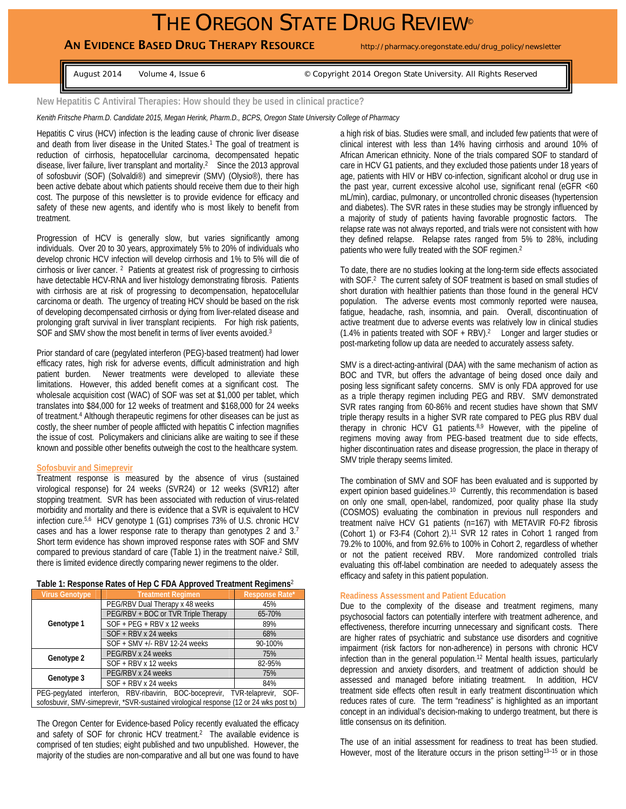# THE OREGON STATE DRUG REVIEW<sup>®</sup>

# AN EVIDENCE BASED DRUG THERAPY RESOURCE http://pharmacy.oregonstate.edu/drug\_policy/newsletter

August 2014 Volume 4, Issue 6 © Copyright 2014 Oregon State University. All Rights Reserved

#### **New Hepatitis C Antiviral Therapies: How should they be used in clinical practice?**

*Kenith Fritsche Pharm.D. Candidate 2015, Megan Herink, Pharm.D., BCPS, Oregon State University College of Pharmacy*

Hepatitis C virus (HCV) infection is the leading cause of chronic liver disease and death from liver disease in the United States.<sup>1</sup> The goal of treatment is reduction of cirrhosis, hepatocellular carcinoma, decompensated hepatic disease, liver failure, liver transplant and mortality.2 Since the 2013 approval of sofosbuvir (SOF) (Solvaldi®) and simeprevir (SMV) (Olysio®), there has been active debate about which patients should receive them due to their high cost. The purpose of this newsletter is to provide evidence for efficacy and safety of these new agents, and identify who is most likely to benefit from treatment.

Progression of HCV is generally slow, but varies significantly among individuals. Over 20 to 30 years, approximately 5% to 20% of individuals who develop chronic HCV infection will develop cirrhosis and 1% to 5% will die of cirrhosis or liver cancer. 2 Patients at greatest risk of progressing to cirrhosis have detectable HCV-RNA and liver histology demonstrating fibrosis. Patients with cirrhosis are at risk of progressing to decompensation, hepatocellular carcinoma or death. The urgency of treating HCV should be based on the risk of developing decompensated cirrhosis or dying from liver-related disease and prolonging graft survival in liver transplant recipients. For high risk patients, SOF and SMV show the most benefit in terms of liver events avoided.<sup>3</sup>

Prior standard of care (pegylated interferon (PEG)-based treatment) had lower efficacy rates, high risk for adverse events, difficult administration and high patient burden. Newer treatments were developed to alleviate these limitations. However, this added benefit comes at a significant cost. The wholesale acquisition cost (WAC) of SOF was set at \$1,000 per tablet, which translates into \$84,000 for 12 weeks of treatment and \$168,000 for 24 weeks of treatment.4 Although therapeutic regimens for other diseases can be just as costly, the sheer number of people afflicted with hepatitis C infection magnifies the issue of cost. Policymakers and clinicians alike are waiting to see if these known and possible other benefits outweigh the cost to the healthcare system.

#### **Sofosbuvir and Simeprevir**

Treatment response is measured by the absence of virus (sustained virological response) for 24 weeks (SVR24) or 12 weeks (SVR12) after stopping treatment. SVR has been associated with reduction of virus-related morbidity and mortality and there is evidence that a SVR is equivalent to HCV infection cure.5,6 HCV genotype 1 (G1) comprises 73% of U.S. chronic HCV cases and has a lower response rate to therapy than genotypes 2 and 3.7 Short term evidence has shown improved response rates with SOF and SMV compared to previous standard of care (Table 1) in the treatment naive.2 Still, there is limited evidence directly comparing newer regimens to the older.

#### **Table 1: Response Rates of Hep C FDA Approved Treatment Regimens**<sup>2</sup>

| <b>Virus Genotype</b>                                                                  | <b>Treatment Regimen</b>            | <b>Response Rate*</b> |
|----------------------------------------------------------------------------------------|-------------------------------------|-----------------------|
| Genotype 1                                                                             | PEG/RBV Dual Therapy x 48 weeks     | 45%                   |
|                                                                                        | PEG/RBV + BOC or TVR Triple Therapy | 65-70%                |
|                                                                                        | SOF + PEG + RBV x 12 weeks          | 89%                   |
|                                                                                        | $SOF + RBV \times 24$ weeks         | 68%                   |
|                                                                                        | SOF + SMV +/- RBV 12-24 weeks       | 90-100%               |
| Genotype 2                                                                             | PEG/RBV x 24 weeks                  | 75%                   |
|                                                                                        | SOF + RBV x 12 weeks                | 82-95%                |
| Genotype 3                                                                             | PEG/RBV x 24 weeks                  | 75%                   |
|                                                                                        | SOF + RBV x 24 weeks                | 84%                   |
| interferon, RBV-ribavirin, BOC-boceprevir, TVR-telaprevir, SOF-<br>PEG-pegylated       |                                     |                       |
| sofosbuvir, SMV-simeprevir, *SVR-sustained virological response (12 or 24 wks post tx) |                                     |                       |

The Oregon Center for Evidence-based Policy recently evaluated the efficacy and safety of SOF for chronic HCV treatment.2 The available evidence is comprised of ten studies; eight published and two unpublished. However, the majority of the studies are non-comparative and all but one was found to have a high risk of bias. Studies were small, and included few patients that were of clinical interest with less than 14% having cirrhosis and around 10% of African American ethnicity. None of the trials compared SOF to standard of care in HCV G1 patients, and they excluded those patients under 18 years of age, patients with HIV or HBV co-infection, significant alcohol or drug use in the past year, current excessive alcohol use, significant renal (eGFR <60 mL/min), cardiac, pulmonary, or uncontrolled chronic diseases (hypertension and diabetes). The SVR rates in these studies may be strongly influenced by a majority of study of patients having favorable prognostic factors. The relapse rate was not always reported, and trials were not consistent with how they defined relapse. Relapse rates ranged from 5% to 28%, including patients who were fully treated with the SOF regimen.2

To date, there are no studies looking at the long-term side effects associated with SOF.<sup>2</sup> The current safety of SOF treatment is based on small studies of short duration with healthier patients than those found in the general HCV population. The adverse events most commonly reported were nausea, fatigue, headache, rash, insomnia, and pain. Overall, discontinuation of active treatment due to adverse events was relatively low in clinical studies (1.4% in patients treated with SOF + RBV).<sup>2</sup> Longer and larger studies or post-marketing follow up data are needed to accurately assess safety.

SMV is a direct-acting-antiviral (DAA) with the same mechanism of action as BOC and TVR, but offers the advantage of being dosed once daily and posing less significant safety concerns. SMV is only FDA approved for use as a triple therapy regimen including PEG and RBV. SMV demonstrated SVR rates ranging from 60-86% and recent studies have shown that SMV triple therapy results in a higher SVR rate compared to PEG plus RBV dual therapy in chronic HCV G1 patients.<sup>8,9</sup> However, with the pipeline of regimens moving away from PEG-based treatment due to side effects, higher discontinuation rates and disease progression, the place in therapy of SMV triple therapy seems limited.

The combination of SMV and SOF has been evaluated and is supported by expert opinion based quidelines.<sup>10</sup> Currently, this recommendation is based on only one small, open-label, randomized, poor quality phase IIa study (COSMOS) evaluating the combination in previous null responders and treatment naïve HCV G1 patients (n=167) with METAVIR F0-F2 fibrosis (Cohort 1) or F3-F4 (Cohort 2).11 SVR 12 rates in Cohort 1 ranged from 79.2% to 100%, and from 92.6% to 100% in Cohort 2, regardless of whether or not the patient received RBV. More randomized controlled trials evaluating this off-label combination are needed to adequately assess the efficacy and safety in this patient population.

### **Readiness Assessment and Patient Education**

Due to the complexity of the disease and treatment regimens, many psychosocial factors can potentially interfere with treatment adherence, and effectiveness, therefore incurring unnecessary and significant costs. There are higher rates of psychiatric and substance use disorders and cognitive impairment (risk factors for non-adherence) in persons with chronic HCV infection than in the general population.12 Mental health issues, particularly depression and anxiety disorders, and treatment of addiction should be assessed and managed before initiating treatment. In addition, HCV treatment side effects often result in early treatment discontinuation which reduces rates of cure. The term "readiness" is highlighted as an important concept in an individual's decision-making to undergo treatment, but there is little consensus on its definition.

The use of an initial assessment for readiness to treat has been studied. However, most of the literature occurs in the prison setting<sup>13-15</sup> or in those